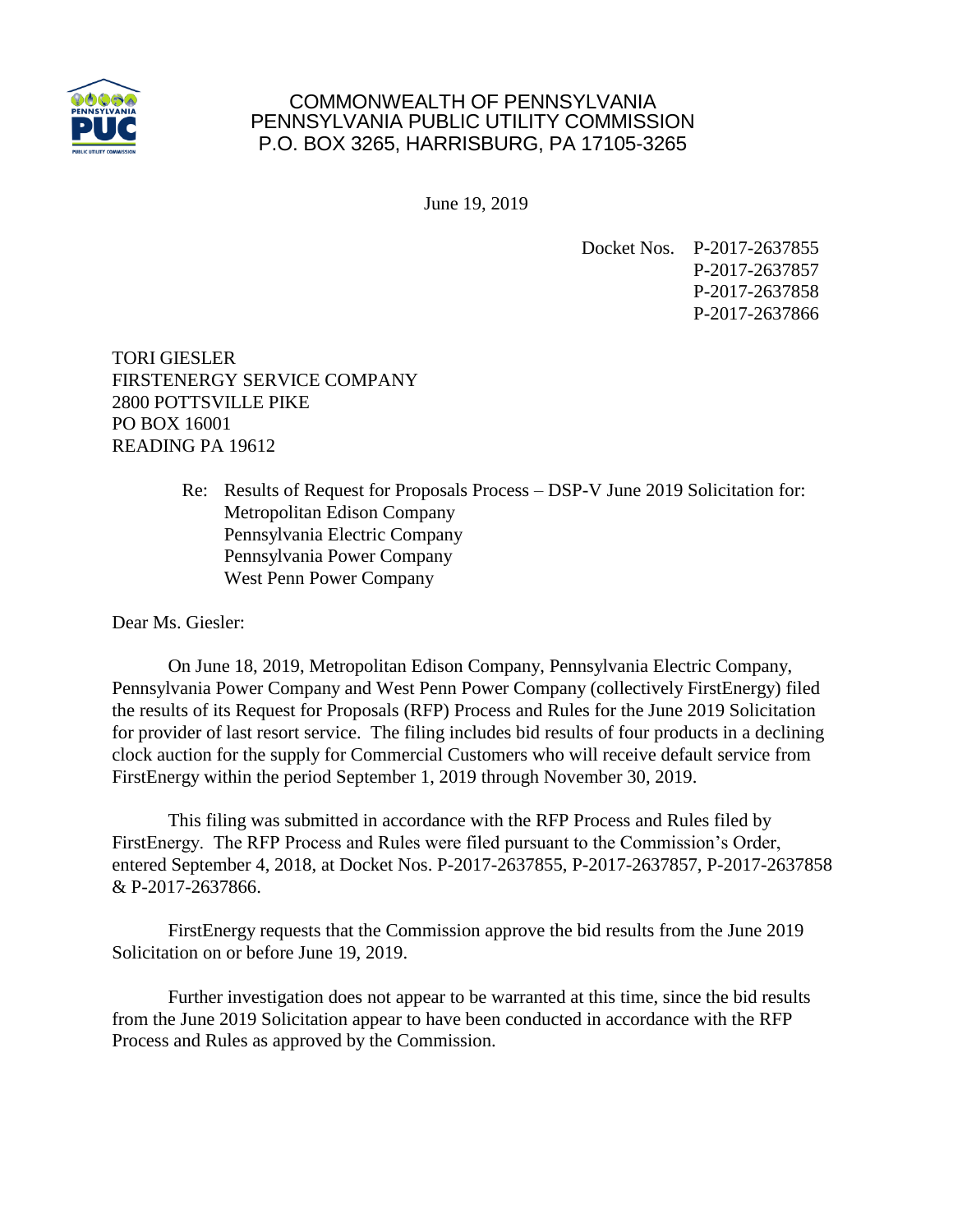

## COMMONWEALTH OF PENNSYLVANIA PENNSYLVANIA PUBLIC UTILITY COMMISSION P.O. BOX 3265, HARRISBURG, PA 17105-3265

June 19, 2019

Docket Nos. P-2017-2637855 P-2017-2637857 P-2017-2637858 P-2017-2637866

TORI GIESLER FIRSTENERGY SERVICE COMPANY 2800 POTTSVILLE PIKE PO BOX 16001 READING PA 19612

> Re: Results of Request for Proposals Process – DSP-V June 2019 Solicitation for: Metropolitan Edison Company Pennsylvania Electric Company Pennsylvania Power Company West Penn Power Company

Dear Ms. Giesler:

On June 18, 2019, Metropolitan Edison Company, Pennsylvania Electric Company, Pennsylvania Power Company and West Penn Power Company (collectively FirstEnergy) filed the results of its Request for Proposals (RFP) Process and Rules for the June 2019 Solicitation for provider of last resort service. The filing includes bid results of four products in a declining clock auction for the supply for Commercial Customers who will receive default service from FirstEnergy within the period September 1, 2019 through November 30, 2019.

This filing was submitted in accordance with the RFP Process and Rules filed by FirstEnergy. The RFP Process and Rules were filed pursuant to the Commission's Order, entered September 4, 2018, at Docket Nos. P-2017-2637855, P-2017-2637857, P-2017-2637858 & P-2017-2637866.

FirstEnergy requests that the Commission approve the bid results from the June 2019 Solicitation on or before June 19, 2019.

Further investigation does not appear to be warranted at this time, since the bid results from the June 2019 Solicitation appear to have been conducted in accordance with the RFP Process and Rules as approved by the Commission.